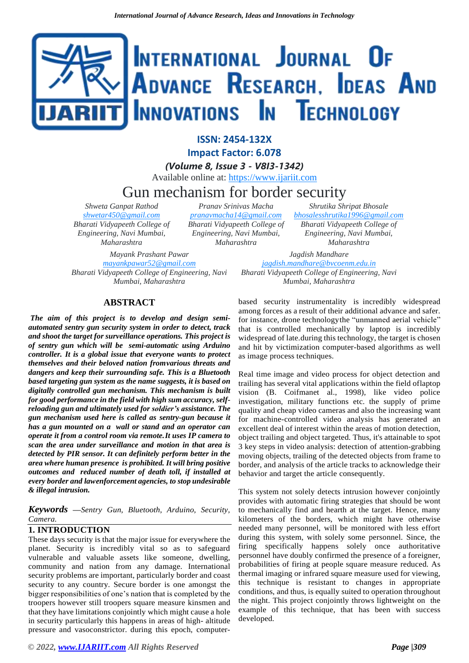# INTERNATIONAL JOURNAL OF ADVANCE RESEARCH, IDEAS AND nnovations **I**n Technology

**ISSN: 2454-132X Impact Factor: 6.078**

*(Volume 8, Issue 3 - V8I3-1342)* Available online at: [https://www.ijariit.com](https://www.ijariit.com/?utm_source=pdf&utm_medium=edition&utm_campaign=OmAkSols&utm_term=V8I3-1342)

## Gun mechanism for border security

*Shweta Ganpat Rathod [shwetar450@gmail.com](mailto:shwetar450@gmail.com) Bharati Vidyapeeth College of Engineering, Navi Mumbai, Maharashtra*

*Pranav Srinivas Macha [pranavmacha14@gmail.com](mailto:pranavmacha14@gmail.com) Bharati Vidyapeeth College of Engineering, Navi Mumbai, Maharashtra*

*Shrutika Shripat Bhosale [bhosalesshrutika1996@gmail.com](mailto:bhosalesshrutika1996@gmail.com) Bharati Vidyapeeth College of Engineering, Navi Mumbai, Maharashtra*

*Mayank Prashant Pawar [mayankpawar52@gmail.com](mailto:mayankpawar52@gmail.com) Bharati Vidyapeeth College of Engineering, Navi Mumbai, Maharashtra*

*Jagdish Mandhare [jagdish.mandhare@bvcoenm.edu.in](mailto:jagdish.mandhare@bvcoenm.edu.in) Bharati Vidyapeeth College of Engineering, Navi Mumbai, Maharashtra*

### **ABSTRACT**

*The aim of this project is to develop and design semiautomated sentry gun security system in order to detect, track and shoot the target for surveillance operations. This project is of sentry gun which will be semi-automatic using Arduino controller. It is a global issue that everyone wants to protect themselves and their beloved nation fromvarious threats and dangers and keep their surrounding safe. This is a Bluetooth based targeting gun system as the name suggests, it is based on digitally controlled gun mechanism. This mechanism is built for good performance in the field with high sum accuracy, selfreloading gun and ultimately used for soldier's assistance. The gun mechanism used here is called as sentry-gun because it has a gun mounted on a wall or stand and an operator can operate it from a control room via remote.It uses IP camera to scan the area under surveillance and motion in that area is detected by PIR sensor. It can definitely perform better in the area where human presence is prohibited. It will bring positive outcomes and reduced number of death toll, if installed at every border and lawenforcement agencies, to stop undesirable & illegal intrusion.*

*Keywords* **—***Sentry Gun, Bluetooth, Arduino, Security, Camera.*

#### **1. INTRODUCTION**

These days security is that the major issue for everywhere the planet. Security is incredibly vital so as to safeguard vulnerable and valuable assets like someone, dwelling, community and nation from any damage. International security problems are important, particularly border and coast security to any country. Secure border is one amongst the bigger responsibilities of one's nation that is completed by the troopers however still troopers square measure kinsmen and that they have limitations conjointly which might cause a hole in security particularly this happens in areas of high- altitude pressure and vasoconstrictor. during this epoch, computer-

based security instrumentality is incredibly widespread among forces as a result of their additional advance and safer. for instance, drone technologythe "unmanned aerial vehicle" that is controlled mechanically by laptop is incredibly widespread of late.during this technology, the target is chosen and hit by victimization computer-based algorithms as well as image process techniques.

Real time image and video process for object detection and trailing has several vital applications within the field oflaptop vision (B. Coifmanet al., 1998), like video police investigation, military functions etc. the supply of prime quality and cheap video cameras and also the increasing want for machine-controlled video analysis has generated an excellent deal of interest within the areas of motion detection, object trailing and object targeted. Thus, it's attainable to spot 3 key steps in video analysis: detection of attention-grabbing moving objects, trailing of the detected objects from frame to border, and analysis of the article tracks to acknowledge their behavior and target the article consequently.

This system not solely detects intrusion however conjointly provides with automatic firing strategies that should be wont to mechanically find and hearth at the target. Hence, many kilometers of the borders, which might have otherwise needed many personnel, will be monitored with less effort during this system, with solely some personnel. Since, the firing specifically happens solely once authoritative personnel have doubly confirmed the presence of a foreigner, probabilities of firing at people square measure reduced. As thermal imaging or infrared square measure used for viewing, this technique is resistant to changes in appropriate conditions, and thus, is equally suited to operation throughout the night. This project conjointly throws lightweight on the example of this technique, that has been with success developed.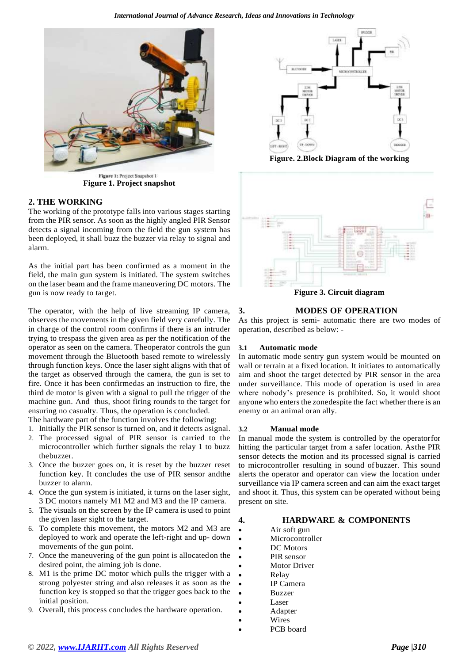

**Figure 1. Project Snapshot 1**<br>**Figure 1. Project snapshot** 

#### **2. THE WORKING**

The working of the prototype falls into various stages starting from the PIR sensor. As soon as the highly angled PIR Sensor detects a signal incoming from the field the gun system has been deployed, it shall buzz the buzzer via relay to signal and alarm.

As the initial part has been confirmed as a moment in the field, the main gun system is initiated. The system switches on the laser beam and the frame maneuvering DC motors. The gun is now ready to target.

The operator, with the help of live streaming IP camera, observes the movements in the given field very carefully. The in charge of the control room confirms if there is an intruder trying to trespass the given area as per the notification of the operator as seen on the camera. Theoperator controls the gun movement through the Bluetooth based remote to wirelessly through function keys. Once the laser sight aligns with that of the target as observed through the camera, the gun is set to fire. Once it has been confirmedas an instruction to fire, the third de motor is given with a signal to pull the trigger of the machine gun. And thus, shoot firing rounds to the target for ensuring no casualty. Thus, the operation is concluded.

The hardware part of the function involves the following:

- 1. Initially the PIR sensor is turned on, and it detects asignal.
- 2. The processed signal of PIR sensor is carried to the microcontroller which further signals the relay 1 to buzz thebuzzer.
- 3. Once the buzzer goes on, it is reset by the buzzer reset function key. It concludes the use of PIR sensor andthe buzzer to alarm.
- 4. Once the gun system is initiated, it turns on the laser sight, 3 DC motors namely M1 M2 and M3 and the IP camera.
- 5. The visuals on the screen by the IP camera is used to point the given laser sight to the target.
- 6. To complete this movement, the motors M2 and M3 are deployed to work and operate the left-right and up- down movements of the gun point.
- 7. Once the maneuvering of the gun point is allocatedon the desired point, the aiming job is done.
- 8. M1 is the prime DC motor which pulls the trigger with a strong polyester string and also releases it as soon as the function key is stopped so that the trigger goes back to the initial position.
- 9. Overall, this process concludes the hardware operation.



**Figure. 2.Block Diagram of the working**



#### **3. MODES OF OPERATION**

As this project is semi- automatic there are two modes of operation, described as below: -

#### **3.1 Automatic mode**

In automatic mode sentry gun system would be mounted on wall or terrain at a fixed location. It initiates to automatically aim and shoot the target detected by PIR sensor in the area under surveillance. This mode of operation is used in area where nobody's presence is prohibited. So, it would shoot anyone who enters the zonedespite the fact whether there is an enemy or an animal oran ally.

#### **3.2 Manual mode**

In manual mode the system is controlled by the operatorfor hitting the particular target from a safer location. Asthe PIR sensor detects the motion and its processed signal is carried to microcontroller resulting in sound of buzzer. This sound alerts the operator and operator can view the location under surveillance via IP camera screen and can aim the exact target and shoot it. Thus, this system can be operated without being present on site.

#### **4. HARDWARE & COMPONENTS**

- Air soft gun
- **Microcontroller**
- DC Motors
- PIR sensor
- **Motor Driver** • Relay
- IP Camera
- Buzzer
- **Laser**
- **Adapter**
- **Wires**
- PCB board